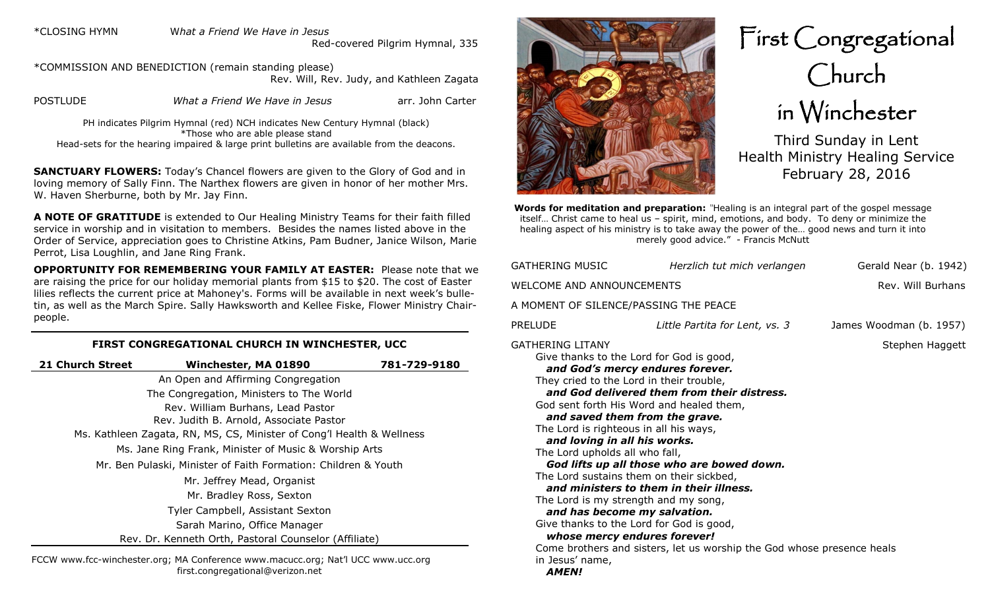\*CLOSING HYMN W*hat a Friend We Have in Jesus* 

Red-covered Pilgrim Hymnal, 335

\*COMMISSION AND BENEDICTION (remain standing please) Rev. Will, Rev. Judy, and Kathleen Zagata POSTLUDE *What a Friend We Have in Jesus* arr. John Carter

PH indicates Pilgrim Hymnal (red) NCH indicates New Century Hymnal (black) \*Those who are able please stand Head-sets for the hearing impaired & large print bulletins are available from the deacons.

**SANCTUARY FLOWERS:** Today's Chancel flowers are given to the Glory of God and in loving memory of Sally Finn. The Narthex flowers are given in honor of her mother Mrs. W. Haven Sherburne, both by Mr. Jay Finn.

**A NOTE OF GRATITUDE** is extended to Our Healing Ministry Teams for their faith filled service in worship and in visitation to members. Besides the names listed above in the Order of Service, appreciation goes to Christine Atkins, Pam Budner, Janice Wilson, Marie Perrot, Lisa Loughlin, and Jane Ring Frank.

**OPPORTUNITY FOR REMEMBERING YOUR FAMILY AT EASTER:** Please note that we are raising the price for our holiday memorial plants from \$15 to \$20. The cost of Easter lilies reflects the current price at Mahoney's. Forms will be available in next week's bulletin, as well as the March Spire. Sally Hawksworth and Kellee Fiske, Flower Ministry Chairpeople.

#### **FIRST CONGREGATIONAL CHURCH IN WINCHESTER, UCC**

| <b>21 Church Street</b>                                               | Winchester, MA 01890                                           | 781-729-9180 |  |  |
|-----------------------------------------------------------------------|----------------------------------------------------------------|--------------|--|--|
|                                                                       | An Open and Affirming Congregation                             |              |  |  |
|                                                                       | The Congregation, Ministers to The World                       |              |  |  |
| Rev. William Burhans, Lead Pastor                                     |                                                                |              |  |  |
| Rev. Judith B. Arnold, Associate Pastor                               |                                                                |              |  |  |
| Ms. Kathleen Zagata, RN, MS, CS, Minister of Cong'l Health & Wellness |                                                                |              |  |  |
| Ms. Jane Ring Frank, Minister of Music & Worship Arts                 |                                                                |              |  |  |
|                                                                       | Mr. Ben Pulaski, Minister of Faith Formation: Children & Youth |              |  |  |
|                                                                       | Mr. Jeffrey Mead, Organist                                     |              |  |  |
|                                                                       | Mr. Bradley Ross, Sexton                                       |              |  |  |
| Tyler Campbell, Assistant Sexton                                      |                                                                |              |  |  |
|                                                                       | Sarah Marino, Office Manager                                   |              |  |  |
|                                                                       | Rev. Dr. Kenneth Orth, Pastoral Counselor (Affiliate)          |              |  |  |
|                                                                       |                                                                |              |  |  |

FCCW www.fcc-winchester.org; MA Conference www.macucc.org; Nat'l UCC www.ucc.org first.congregational@verizon.net



First Congregational Church in Winchester

Third Sunday in Lent Health Ministry Healing Service February 28, 2016

**Words for meditation and preparation:** *"*Healing is an integral part of the gospel message itself… Christ came to heal us – spirit, mind, emotions, and body. To deny or minimize the healing aspect of his ministry is to take away the power of the… good news and turn it into merely good advice." - Francis McNutt

| GATHERING MUSIC                                                                                                                                                                                                                                                                                                                                                                                                                                                                                                                                                           | Herzlich tut mich verlangen                                                                                                                                                                                    | Gerald Near (b. 1942)   |  |  |  |  |
|---------------------------------------------------------------------------------------------------------------------------------------------------------------------------------------------------------------------------------------------------------------------------------------------------------------------------------------------------------------------------------------------------------------------------------------------------------------------------------------------------------------------------------------------------------------------------|----------------------------------------------------------------------------------------------------------------------------------------------------------------------------------------------------------------|-------------------------|--|--|--|--|
| WELCOME AND ANNOUNCEMENTS<br>Rev. Will Burhans                                                                                                                                                                                                                                                                                                                                                                                                                                                                                                                            |                                                                                                                                                                                                                |                         |  |  |  |  |
| A MOMENT OF SILENCE/PASSING THE PEACE                                                                                                                                                                                                                                                                                                                                                                                                                                                                                                                                     |                                                                                                                                                                                                                |                         |  |  |  |  |
| PRELUDE                                                                                                                                                                                                                                                                                                                                                                                                                                                                                                                                                                   | Little Partita for Lent, vs. 3                                                                                                                                                                                 | James Woodman (b. 1957) |  |  |  |  |
| GATHERING LITANY<br>Give thanks to the Lord for God is good,<br>and God's mercy endures forever.<br>They cried to the Lord in their trouble,<br>God sent forth His Word and healed them,<br>and saved them from the grave.<br>The Lord is righteous in all his ways,<br>and loving in all his works.<br>The Lord upholds all who fall,<br>The Lord sustains them on their sickbed,<br>The Lord is my strength and my song,<br>and has become my salvation.<br>Give thanks to the Lord for God is good,<br>whose mercy endures forever!<br>in Jesus' name,<br><b>AMEN!</b> | and God delivered them from their distress.<br>God lifts up all those who are bowed down.<br>and ministers to them in their illness.<br>Come brothers and sisters, let us worship the God whose presence heals | Stephen Haggett         |  |  |  |  |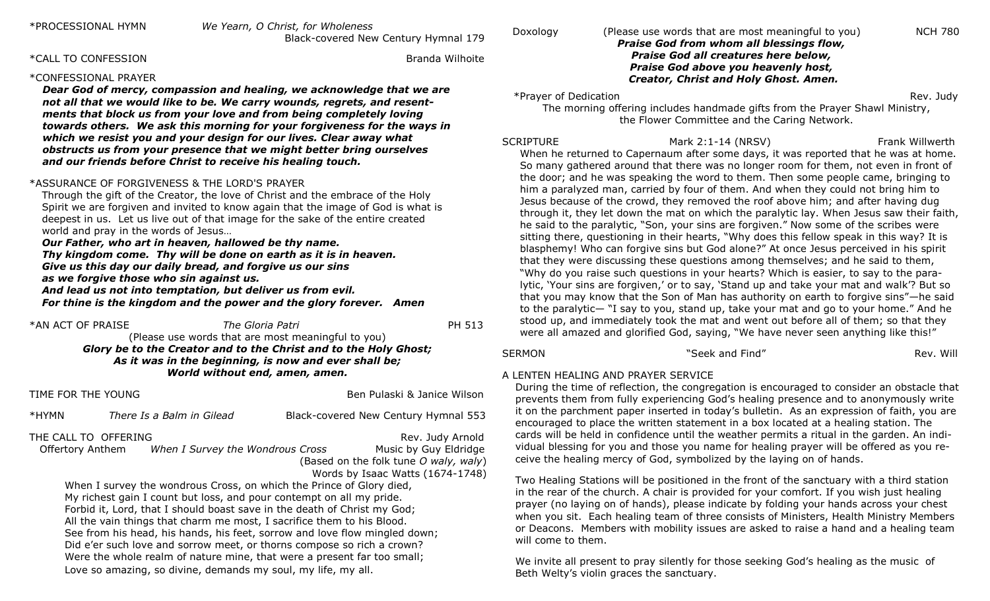\*CALL TO CONFESSION Branda Wilhoite

#### \*CONFESSIONAL PRAYER

*Dear God of mercy, compassion and healing, we acknowledge that we are not all that we would like to be. We carry wounds, regrets, and resentments that block us from your love and from being completely loving towards others. We ask this morning for your forgiveness for the ways in which we resist you and your design for our lives. Clear away what obstructs us from your presence that we might better bring ourselves and our friends before Christ to receive his healing touch.* 

#### \*ASSURANCE OF FORGIVENESS & THE LORD'S PRAYER

Through the gift of the Creator, the love of Christ and the embrace of the Holy Spirit we are forgiven and invited to know again that the image of God is what is deepest in us. Let us live out of that image for the sake of the entire created world and pray in the words of Jesus…

*Our Father, who art in heaven, hallowed be thy name. Thy kingdom come. Thy will be done on earth as it is in heaven. Give us this day our daily bread, and forgive us our sins as we forgive those who sin against us.* 

*And lead us not into temptation, but deliver us from evil. For thine is the kingdom and the power and the glory forever. Amen*

#### \*AN ACT OF PRAISE *The Gloria Patri* PH 513

#### (Please use words that are most meaningful to you) *Glory be to the Creator and to the Christ and to the Holy Ghost; As it was in the beginning, is now and ever shall be; World without end, amen, amen.*

TIME FOR THE YOUNG **BELL ASSESSED ASSESSED** Ben Pulaski & Janice Wilson

\*HYMN *There Is a Balm in Gilead* Black-covered New Century Hymnal 553

### THE CALL TO OFFERING THE REV. Judy Arnold

Offertory Anthem *When I Survey the Wondrous Cross* Music by Guy Eldridge

 (Based on the folk tune *O waly, waly*) Words by Isaac Watts (1674-1748)

When I survey the wondrous Cross, on which the Prince of Glory died, My richest gain I count but loss, and pour contempt on all my pride. Forbid it, Lord, that I should boast save in the death of Christ my God; All the vain things that charm me most, I sacrifice them to his Blood. See from his head, his hands, his feet, sorrow and love flow mingled down; Did e'er such love and sorrow meet, or thorns compose so rich a crown? Were the whole realm of nature mine, that were a present far too small; Love so amazing, so divine, demands my soul, my life, my all.

#### Doxology (Please use words that are most meaningful to you) NCH 780 *Praise God from whom all blessings flow, Praise God all creatures here below, Praise God above you heavenly host, Creator, Christ and Holy Ghost. Amen.*

\*Prayer of Dedication **Rev.** 2008 **Rev.** 2009 **Rev.** 2009

 The morning offering includes handmade gifts from the Prayer Shawl Ministry, the Flower Committee and the Caring Network.

SCRIPTURE Mark 2:1-14 (NRSV) Frank Willwerth When he returned to Capernaum after some days, it was reported that he was at home. So many gathered around that there was no longer room for them, not even in front of the door; and he was speaking the word to them. Then some people came, bringing to him a paralyzed man, carried by four of them. And when they could not bring him to Jesus because of the crowd, they removed the roof above him; and after having dug through it, they let down the mat on which the paralytic lay. When Jesus saw their faith, he said to the paralytic, "Son, your sins are forgiven." Now some of the scribes were sitting there, questioning in their hearts, "Why does this fellow speak in this way? It is blasphemy! Who can forgive sins but God alone?" At once Jesus perceived in his spirit that they were discussing these questions among themselves; and he said to them, "Why do you raise such questions in your hearts? Which is easier, to say to the paralytic, 'Your sins are forgiven,' or to say, 'Stand up and take your mat and walk'? But so that you may know that the Son of Man has authority on earth to forgive sins"—he said to the paralytic— "I say to you, stand up, take your mat and go to your home." And he stood up, and immediately took the mat and went out before all of them; so that they were all amazed and glorified God, saying, "We have never seen anything like this!"

SERMON THE SERMON SERMON SERMON SERMON SERMON SERMON SERV. Will seek and Find"

## A LENTEN HEALING AND PRAYER SERVICE

During the time of reflection, the congregation is encouraged to consider an obstacle that prevents them from fully experiencing God's healing presence and to anonymously write it on the parchment paper inserted in today's bulletin. As an expression of faith, you are encouraged to place the written statement in a box located at a healing station. The cards will be held in confidence until the weather permits a ritual in the garden. An individual blessing for you and those you name for healing prayer will be offered as you receive the healing mercy of God, symbolized by the laying on of hands.

Two Healing Stations will be positioned in the front of the sanctuary with a third station in the rear of the church. A chair is provided for your comfort. If you wish just healing prayer (no laying on of hands), please indicate by folding your hands across your chest when you sit. Each healing team of three consists of Ministers, Health Ministry Members or Deacons. Members with mobility issues are asked to raise a hand and a healing team will come to them.

We invite all present to pray silently for those seeking God's healing as the music of Beth Welty's violin graces the sanctuary.